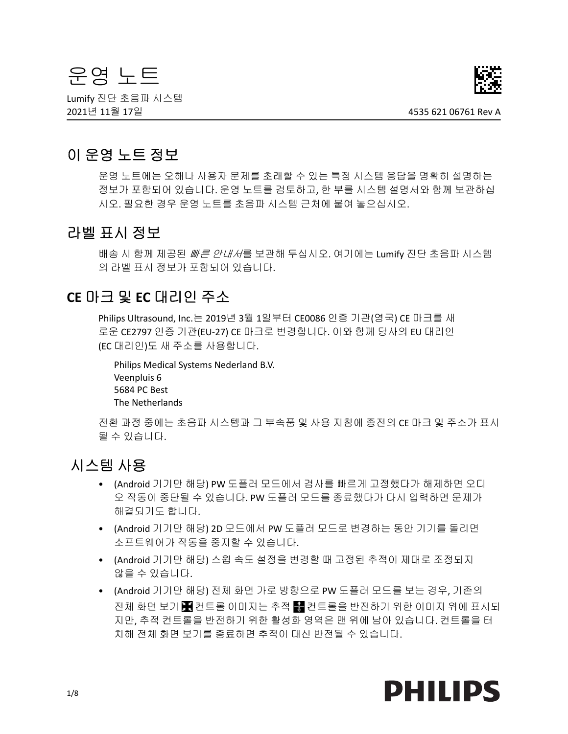# 운영 노트

Lumify 진단 초음파 시스템 2021년 11월 17일 4535 621 06761 Rev A



# 이 운영 노트 정보

운영 노트에는 오해나 사용자 문제를 초래할 수 있는 특정 시스템 응답을 명확히 설명하는 정보가 포함되어 있습니다. 운영 노트를 검토하고, 한 부를 시스템 설명서와 함께 보관하십 시오. 필요한 경우 운영 노트를 초음파 시스템 근처에 붙여 놓으십시오.

# 라벨 표시 정보

배송 시 함께 제공된 *빠른 안내서*를 보관해 두십시오. 여기에는 Lumify 진단 초음파 시스템 의 라벨 표시 정보가 포함되어 있습니다.

# **CE** 마크 및 **EC** 대리인 주소

Philips Ultrasound, Inc.는 2019년 3월 1일부터 CE0086 인증 기관(영국) CE 마크를 새 로운 CE2797 인증 기관(EU-27) CE 마크로 변경합니다. 이와 함께 당사의 EU 대리인 (EC 대리인)도 새 주소를 사용합니다.

Philips Medical Systems Nederland B.V. Veenpluis 6 5684 PC Best The Netherlands

전환 과정 중에는 초음파 시스템과 그 부속품 및 사용 지침에 종전의 CE 마크 및 주소가 표시 될 수 있습니다.

# 시스템 사용

- (Android 기기만 해당) PW 도플러 모드에서 검사를 빠르게 고정했다가 해제하면 오디 오 작동이 중단될 수 있습니다. PW 도플러 모드를 종료했다가 다시 입력하면 문제가 해결되기도 합니다.
- (Android 기기만 해당) 2D 모드에서 PW 도플러 모드로 변경하는 동안 기기를 돌리면 소프트웨어가 작동을 중지할 수 있습니다.
- (Android 기기만 해당) 스윕 속도 설정을 변경할 때 고정된 추적이 제대로 조정되지 않을 수 있습니다.
- (Android 기기만 해당) 전체 화면 가로 방향으로 PW 도플러 모드를 보는 경우, 기존의 전체 화면 보기 ██ 컨트롤 이미지는 추적 ██ 컨트롤을 반전하기 위한 이미지 위에 표시되 지만, 추적 컨트롤을 반전하기 위한 활성화 영역은 맨 위에 남아 있습니다. 컨트롤을 터 치해 전체 화면 보기를 종료하면 추적이 대신 반전될 수 있습니다.

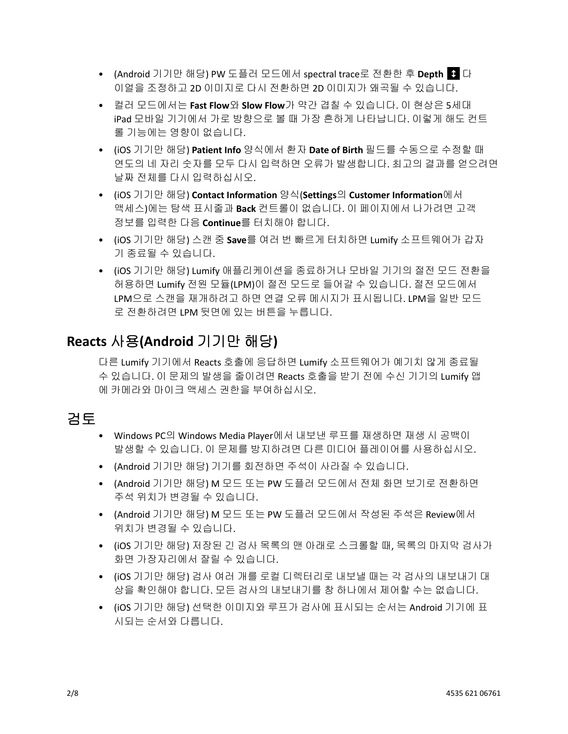- (Android 기기만 해당) PW 도플러 모드에서 spectral trace로 전환한 후 **Depth** 다 이얼을 조정하고 2D 이미지로 다시 전환하면 2D 이미지가 왜곡될 수 있습니다.
- 컬러 모드에서는 **Fast Flow**와 **Slow Flow**가 약간 겹칠 수 있습니다. 이 현상은 5세대 iPad 모바일 기기에서 가로 방향으로 볼 때 가장 흔하게 나타납니다. 이렇게 해도 컨트 롤 기능에는 영향이 없습니다.
- (iOS 기기만 해당) **Patient Info** 양식에서 환자 **Date of Birth** 필드를 수동으로 수정할 때 연도의 네 자리 숫자를 모두 다시 입력하면 오류가 발생합니다. 최고의 결과를 얻으려면 날짜 전체를 다시 입력하십시오.
- (iOS 기기만 해당) Contact Information 양식(Settings의 Customer Information에서 액세스)에는 탐색 표시줄과 **Back** 컨트롤이 없습니다. 이 페이지에서 나가려면 고객 정보를 입력한 다음 **Continue**를 터치해야 합니다.
- (iOS 기기만 해당) 스캔 중 **Save**를 여러 번 빠르게 터치하면 Lumify 소프트웨어가 갑자 기 종료될 수 있습니다.
- (iOS 기기만 해당) Lumify 애플리케이션을 종료하거나 모바일 기기의 절전 모드 전환을 허용하면 Lumify 전원 모듈(LPM)이 절전 모드로 들어갈 수 있습니다. 절전 모드에서 LPM으로 스캔을 재개하려고 하면 연결 오류 메시지가 표시됩니다. LPM을 일반 모드 로 전환하려면 LPM 뒷면에 있는 버튼을 누릅니다.

# **Reacts** 사용**(Android** 기기만 해당**)**

다른 Lumify 기기에서 Reacts 호출에 응답하면 Lumify 소프트웨어가 예기치 않게 종료될 수 있습니다. 이 문제의 발생을 줄이려면 Reacts 호출을 받기 전에 수신 기기의 Lumify 앱 에 카메라와 마이크 액세스 권한을 부여하십시오.

# 검토

- Windows PC의 Windows Media Player에서 내보낸 루프를 재생하면 재생 시 공백이 발생할 수 있습니다. 이 문제를 방지하려면 다른 미디어 플레이어를 사용하십시오.
- (Android 기기만 해당) 기기를 회전하면 주석이 사라질 수 있습니다.
- (Android 기기만 해당) M 모드 또는 PW 도플러 모드에서 전체 화면 보기로 전환하면 주석 위치가 변경될 수 있습니다.
- (Android 기기만 해당) M 모드 또는 PW 도플러 모드에서 작성된 주석은 Review에서 위치가 변경될 수 있습니다.
- (iOS 기기만 해당) 저장된 긴 검사 목록의 맨 아래로 스크롤할 때, 목록의 마지막 검사가 화면 가장자리에서 잘릴 수 있습니다.
- (iOS 기기만 해당) 검사 여러 개를 로컬 디렉터리로 내보낼 때는 각 검사의 내보내기 대 상을 확인해야 합니다. 모든 검사의 내보내기를 창 하나에서 제어할 수는 없습니다.
- (iOS 기기만 해당) 선택한 이미지와 루프가 검사에 표시되는 순서는 Android 기기에 표 시되는 순서와 다릅니다.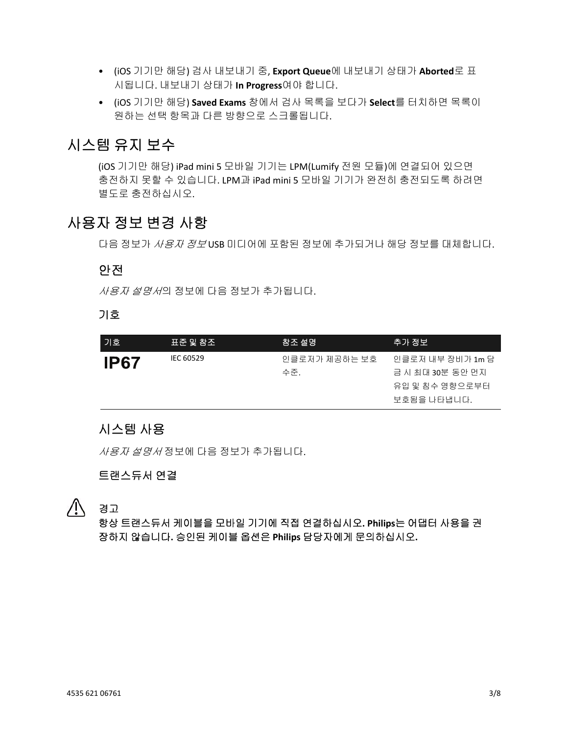- (iOS 기기만 해당) 검사 내보내기 중, **Export Queue**에 내보내기 상태가 **Aborted**로 표 시됩니다. 내보내기 상태가 **In Progress**여야 합니다.
- (iOS 기기만 해당) **Saved Exams** 창에서 검사 목록을 보다가 **Select**를 터치하면 목록이 원하는 선택 항목과 다른 방향으로 스크롤됩니다.

# 시스템 유지 보수

(iOS 기기만 해당) iPad mini 5 모바일 기기는 LPM(Lumify 전원 모듈)에 연결되어 있으면 충전하지 못할 수 있습니다. LPM과 iPad mini 5 모바일 기기가 완전히 충전되도록 하려면 별도로 충전하십시오.

# 사용자 정보 변경 사항

다음 정보가 *사용자 정보* USB 미디어에 포함된 정보에 추가되거나 해당 정보를 대체합니다.

## 안전

사용자 설명서의 정보에 다음 정보가 추가됩니다.

### 기호

| 기호          | 표준 및 참조   | 참조 설명         | 추가 정보            |
|-------------|-----------|---------------|------------------|
| <b>IP67</b> | IEC 60529 | 인클로저가 제공하는 보호 | 인클로저 내부 장비가 1m 담 |
|             |           | 수준.           | 금 시 최대 30분 동안 먼지 |
|             |           |               | 유입 및 침수 영향으로부터   |
|             |           |               | 보호됨을 나타냅니다.      |

# 시스템 사용

사용자 설명서 정보에 다음 정보가 추가됩니다.

# 트랜스듀서 연결

경고

항상 트랜스듀서 케이블을 모바일 기기에 직접 연결하십시오**. Philips**는 어댑터 사용을 권 장하지 않습니다**.** 승인된 케이블 옵션은 **Philips** 담당자에게 문의하십시오**.**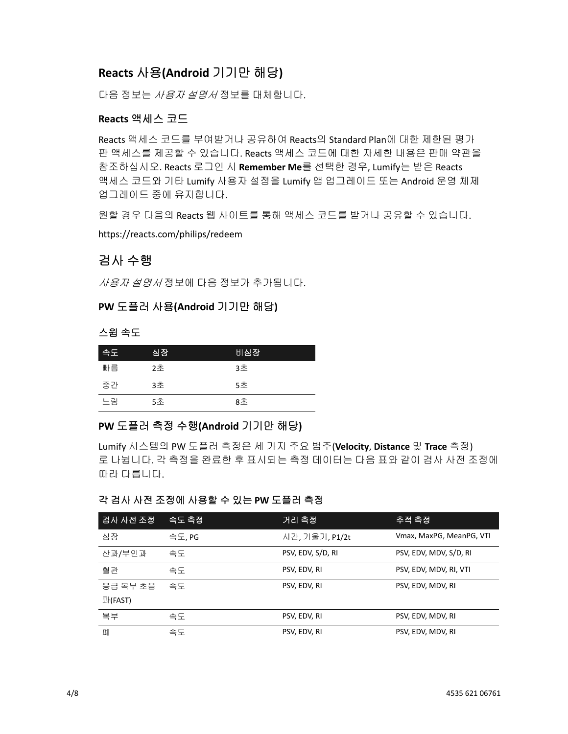# **Reacts** 사용**(Android** 기기만 해당**)**

다음 정보는 사용자 설명서 정보를 대체합니다.

### **Reacts** 액세스 코드

Reacts 액세스 코드를 부여받거나 공유하여 Reacts의 Standard Plan에 대한 제한된 평가 판 액세스를 제공할 수 있습니다. Reacts 액세스 코드에 대한 자세한 내용은 판매 약관을 참조하십시오. Reacts 로그인 시 **Remember Me**를 선택한 경우, Lumify는 받은 Reacts 액세스 코드와 기타 Lumify 사용자 설정을 Lumify 앱 업그레이드 또는 Android 운영 체제 업그레이드 중에 유지합니다.

원할 경우 다음의 Reacts 웹 사이트를 통해 액세스 코드를 받거나 공유할 수 있습니다.

https://reacts.com/philips/redeem

# 검사 수행

사용자 설명서 정보에 다음 정보가 추가됩니다.

### **PW** 도플러 사용**(Android** 기기만 해당**)**

#### 스윕 속도

| [속도] | 심장 | 비심장 |
|------|----|-----|
| 빠름   | 2ネ | 3초  |
| 중가   | 3초 | 5초  |
| 느림   | 5초 | 8초  |

### **PW** 도플러 측정 수행**(Android** 기기만 해당**)**

Lumify 시스템의 PW 도플러 측정은 세 가지 주요 범주(**Velocity**, **Distance** 및 **Trace** 측정) 로 나뉩니다. 각 측정을 완료한 후 표시되는 측정 데이터는 다음 표와 같이 검사 사전 조정에 따라 다릅니다.

### 각 검사 사전 조정에 사용할 수 있는 **PW** 도플러 측정

| 검사 사전 조정 | '속도 측정' | 거리 측정             | 추적 측정                    |
|----------|---------|-------------------|--------------------------|
| 심장       | 속도, PG  | 시간, 기울기, P1/2t    | Vmax, MaxPG, MeanPG, VTI |
| 산과/부인과   | 속도      | PSV, EDV, S/D, RI | PSV, EDV, MDV, S/D, RI   |
| 혈관       | 속도      | PSV, EDV, RI      | PSV, EDV, MDV, RI, VTI   |
| 응급 복부 초음 | 속도      | PSV, EDV, RI      | PSV, EDV, MDV, RI        |
| 파(FAST)  |         |                   |                          |
| 복부       | 속도      | PSV, EDV, RI      | PSV, EDV, MDV, RI        |
| 페        | 속도      | PSV, EDV, RI      | PSV, EDV, MDV, RI        |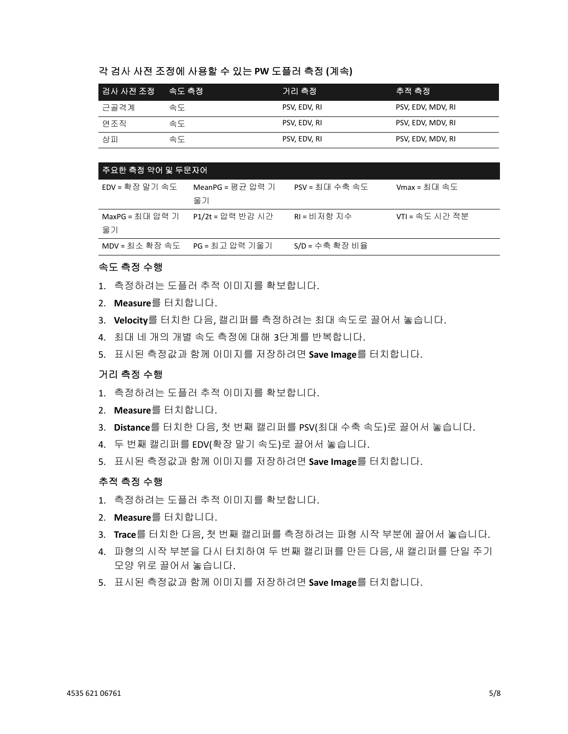#### 각 검사 사전 조정에 사용할 수 있는 **PW** 도플러 측정 **(**계속**)**

| 검사 사전 조정 __ 속도 측정 |    | 거리 측정        | 추적 측정             |
|-------------------|----|--------------|-------------------|
| 근골격계              | 속도 | PSV, EDV, RI | PSV, EDV, MDV, RI |
| 연조직               | 속도 | PSV, EDV, RI | PSV, EDV, MDV, RI |
| 상피                | 속도 | PSV, EDV, RI | PSV, EDV, MDV, RI |

| 주요한 측정 약어 및 두 <u>문자어</u>       |                        |                |                 |
|--------------------------------|------------------------|----------------|-----------------|
| EDV = 확장 말기 속도                 | MeanPG = 평균 압력 기<br>울기 | PSV = 최대 수축 속도 | $V$ max = 최대 속도 |
| MaxPG = 최대 압력 기<br>울기          | P1/2t = 압력 반감 시간       | RI = 비저항 지수    | VTI = 속도 시간 적분  |
| MDV = 최소 확장 속도  PG = 최고 압력 기울기 |                        | S/D = 수축 확장 비율 |                 |

#### 속도 측정 수행

- 1. 측정하려는 도플러 추적 이미지를 확보합니다.
- 2. **Measure**를 터치합니다.
- 3. **Velocity**를 터치한 다음, 캘리퍼를 측정하려는 최대 속도로 끌어서 놓습니다.
- 4. 최대 네 개의 개별 속도 측정에 대해 3단계를 반복합니다.
- 5. 표시된 측정값과 함께 이미지를 저장하려면 **Save Image**를 터치합니다.

#### 거리 측정 수행

- 1. 측정하려는 도플러 추적 이미지를 확보합니다.
- 2. **Measure**를 터치합니다.
- 3. **Distance**를 터치한 다음, 첫 번째 캘리퍼를 PSV(최대 수축 속도)로 끌어서 놓습니다.
- 4. 두 번째 캘리퍼를 EDV(확장 말기 속도)로 끌어서 놓습니다.
- 5. 표시된 측정값과 함께 이미지를 저장하려면 **Save Image**를 터치합니다.

#### 추적 측정 수행

- 1. 측정하려는 도플러 추적 이미지를 확보합니다.
- 2. **Measure**를 터치합니다.
- 3. **Trace**를 터치한 다음, 첫 번째 캘리퍼를 측정하려는 파형 시작 부분에 끌어서 놓습니다.
- 4. 파형의 시작 부분을 다시 터치하여 두 번째 캘리퍼를 만든 다음, 새 캘리퍼를 단일 주기 모양 위로 끌어서 놓습니다.
- 5. 표시된 측정값과 함께 이미지를 저장하려면 **Save Image**를 터치합니다.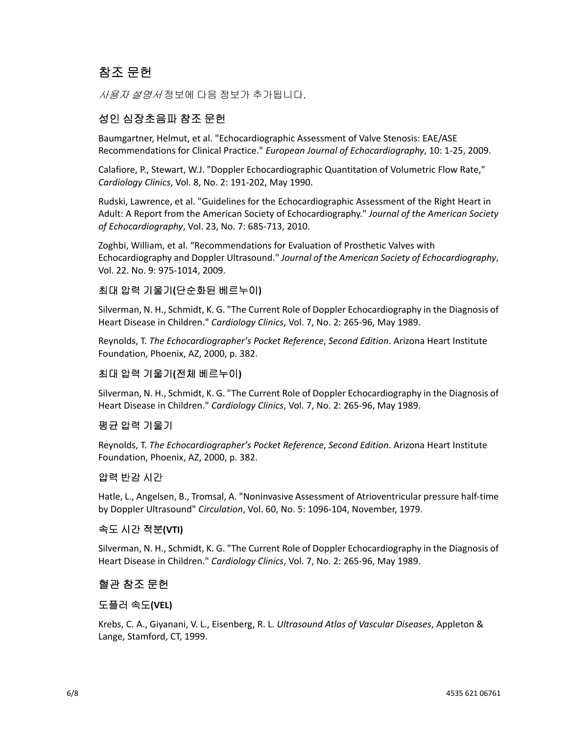# 참조 문헌

*사용자 설명서* 정보에 다음 정보가 추가됩니다.

# 성인 심장초음파 참조 문헌

Baumgartner, Helmut, et al. "Echocardiographic Assessment of Valve Stenosis: EAE/ASE Recommendations for Clinical Practice." *European Journal of Echocardiography*, 10: 1-25, 2009.

Calafiore, P., Stewart, W.J. "Doppler Echocardiographic Quantitation of Volumetric Flow Rate," *Cardiology Clinics*, Vol. 8, No. 2: 191-202, May 1990.

Rudski, Lawrence, et al. "Guidelines for the Echocardiographic Assessment of the Right Heart in Adult: A Report from the American Society of Echocardiography." *Journal of the American Society of Echocardiography*, Vol. 23, No. 7: 685-713, 2010.

Zoghbi, William, et al. "Recommendations for Evaluation of Prosthetic Valves with Echocardiography and Doppler Ultrasound." *Journal of the American Society of Echocardiography*, Vol. 22. No. 9: 975-1014, 2009.

### 최대 압력 기울기**(**단순화된 베르누이**)**

Silverman, N. H., Schmidt, K. G. "The Current Role of Doppler Echocardiography in the Diagnosis of Heart Disease in Children." *Cardiology Clinics*, Vol. 7, No. 2: 265-96, May 1989.

Reynolds, T. *The Echocardiographer's Pocket Reference*, *Second Edition*. Arizona Heart Institute Foundation, Phoenix, AZ, 2000, p. 382.

### 최대 압력 기울기**(**전체 베르누이**)**

Silverman, N. H., Schmidt, K. G. "The Current Role of Doppler Echocardiography in the Diagnosis of Heart Disease in Children." *Cardiology Clinics*, Vol. 7, No. 2: 265-96, May 1989.

### 평균 압력 기울기

Reynolds, T. *The Echocardiographer's Pocket Reference*, *Second Edition*. Arizona Heart Institute Foundation, Phoenix, AZ, 2000, p. 382.

#### 압력 반감 시간

Hatle, L., Angelsen, B., Tromsal, A. "Noninvasive Assessment of Atrioventricular pressure half-time by Doppler Ultrasound" *Circulation*, Vol. 60, No. 5: 1096-104, November, 1979.

#### 속도 시간 적분**(VTI)**

Silverman, N. H., Schmidt, K. G. "The Current Role of Doppler Echocardiography in the Diagnosis of Heart Disease in Children." *Cardiology Clinics*, Vol. 7, No. 2: 265-96, May 1989.

### 혈관 참조 문헌

#### 도플러 속도**(VEL)**

Krebs, C. A., Giyanani, V. L., Eisenberg, R. L. *Ultrasound Atlas of Vascular Diseases*, Appleton & Lange, Stamford, CT, 1999.